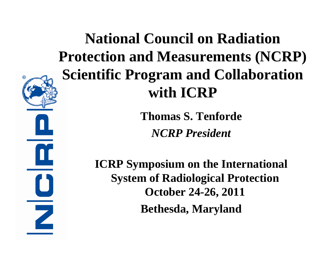## **National Council on Radiation Protection and Measurements (NCRP) Scientific Program and Collaboration with ICRP**

**Thomas S. Tenforde** *NCRP President*

**ICRP Symposium on the International System of Radiological Protection October 24-26, 2011 Bethesda, Maryland**

Z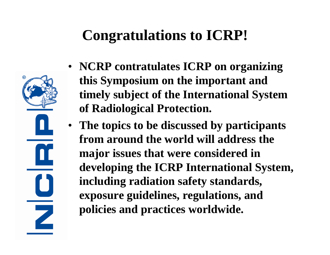### **Congratulations to ICRP!**

 $\overline{\phantom{a}}$ 

- **NCRP contratulates ICRP on organizing this Symposium on the important and timely subject of the International System of Radiological Protection.**
- **The topics to be discussed by participants from around the world will address the major issues that were considered in developing the ICRP International System, including radiation safety standards, exposure guidelines, regulations, and policies and practices worldwide.**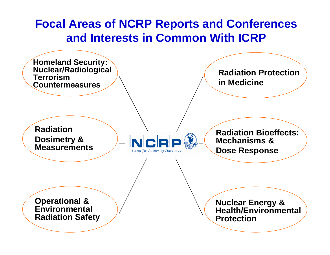#### **Focal Areas of NCRP Reports and Conferences and Interests in Common With ICRP**

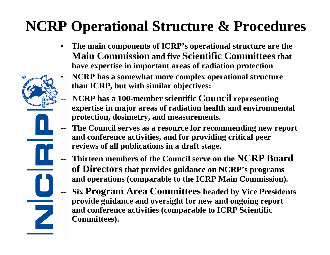### **NCRP Operational Structure & Procedures**

- **The main components of ICRP's operational structure are the Main Commission and five Scientific Committees that have expertise in important areas of radiation protection**
- **NCRP has a somewhat more complex operational structure than ICRP, but with similar objectives:**
- **NCRP** has a 100-member scientific **Council** representing **expertise in major areas of radiation health and environmental protection, dosimetry, and measurements.**
- **-- The Council serves as a resource for recommending new report and conference activities, and for providing critical peer reviews of all publications in a draft stage.**
- **Thirteen members of the Council serve on the NCRP Board of Directors that provides guidance on NCRP's programs and operations (comparable to the ICRP Main Commission).**
- **Six Program Area Committees headed by Vice Presidents provide guidance and oversight for new and ongoing report and conference activities (comparable to ICRP Scientific Committees).**

 $\overline{\phantom{0}}$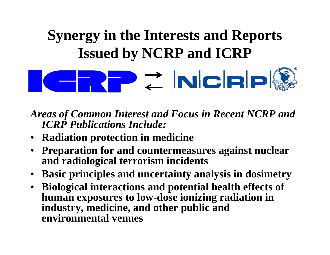# **Synergy in the Interests and Reports Issued by NCRP and ICRP**

P Z NCRP

*Areas of Common Interest and Focus in Recent NCRP and ICRP Publications Include:*

- **Radiation protection in medicine**
- **Preparation for and countermeasures against nuclear and radiological terrorism incidents**
- **Basic principles and uncertainty analysis in dosimetry**
- **Biological interactions and potential health effects of human exposures to low-dose ionizing radiation in industry, medicine, and other public and environmental venues**